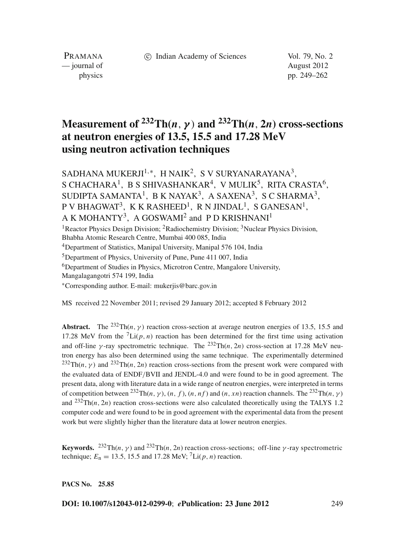c Indian Academy of Sciences Vol. 79, No. 2

PRAMANA — journal of August 2012

physics pp. 249–262

# **Measurement of**  $232 \text{Th}(n, \gamma)$  and  $232 \text{Th}(n, 2n)$  cross-sections **at neutron energies of 13.5, 15.5 and 17.28 MeV using neutron activation techniques**

SADHANA MUKERJI<sup>1,\*</sup>, H NAIK<sup>2</sup>, S V SURYANARAYANA<sup>3</sup>, S CHACHARA<sup>1</sup>, B S SHIVASHANKAR<sup>4</sup>, V MULIK<sup>5</sup>, RITA CRASTA<sup>6</sup>, SUDIPTA SAMANTA<sup>1</sup>, B K NAYAK<sup>3</sup>, A SAXENA<sup>3</sup>, S C SHARMA<sup>3</sup>, P V BHAGWAT<sup>3</sup>, K K RASHEED<sup>1</sup>, R N JINDAL<sup>1</sup>, S GANESAN<sup>1</sup>, A K MOHANTY<sup>3</sup>. A GOSWAMI<sup>2</sup> and P D KRISHNANI<sup>1</sup> <sup>1</sup> Reactor Physics Design Division: <sup>2</sup> Radiochemistry Division: <sup>3</sup> Nuclear Physics Division,

Bhabha Atomic Research Centre, Mumbai 400 085, India

4Department of Statistics, Manipal University, Manipal 576 104, India

5Department of Physics, University of Pune, Pune 411 007, India

<sup>6</sup>Department of Studies in Physics, Microtron Centre, Mangalore University,

Mangalagangotri 574 199, India

<sup>∗</sup>Corresponding author. E-mail: mukerjis@barc.gov.in

MS received 22 November 2011; revised 29 January 2012; accepted 8 February 2012

**Abstract.** The <sup>232</sup>Th(*n*, *y*) reaction cross-section at average neutron energies of 13.5, 15.5 and 17.28 MeV from the  ${}^{7}$ Li(p, n) reaction has been determined for the first time using activation and off-line  $\gamma$ -ray spectrometric technique. The <sup>232</sup>Th(*n*, 2*n*) cross-section at 17.28 MeV neutron energy has also been determined using the same technique. The experimentally determined  $^{232}Th(n, \gamma)$  and  $^{232}Th(n, 2n)$  reaction cross-sections from the present work were compared with the evaluated data of ENDF/BVII and JENDL-4.0 and were found to be in good agreement. The present data, along with literature data in a wide range of neutron energies, were interpreted in terms of competition between  $^{232} \text{Th}(n, \gamma)$ ,  $(n, f)$ ,  $(n, nf)$  and  $(n, xn)$  reaction channels. The  $^{232} \text{Th}(n, \gamma)$ and  $^{232}Th(n, 2n)$  reaction cross-sections were also calculated theoretically using the TALYS 1.2 computer code and were found to be in good agreement with the experimental data from the present work but were slightly higher than the literature data at lower neutron energies.

**Keywords.** <sup>232</sup>Th(*n*,  $\gamma$ ) and <sup>232</sup>Th(*n*, 2*n*) reaction cross-sections; off-line  $\gamma$ -ray spectrometric technique;  $E_n = 13.5$ , 15.5 and 17.28 MeV; <sup>7</sup>Li(*p*, *n*) reaction.

**PACS No. 25.85**

**DOI: 10.1007/s12043-012-0299-0**; *e***Publication: 23 June 2012** 249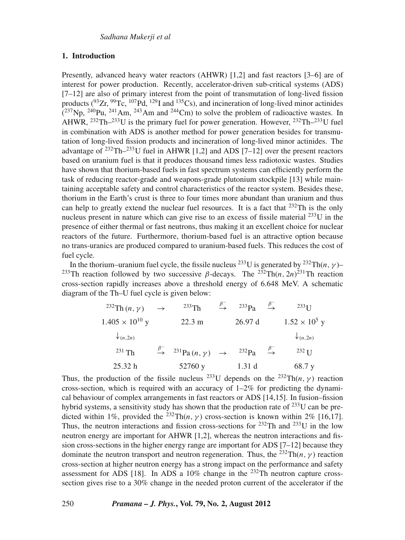### **1. Introduction**

Presently, advanced heavy water reactors (AHWR) [1,2] and fast reactors [3–6] are of interest for power production. Recently, accelerator-driven sub-critical systems (ADS) [7–12] are also of primary interest from the point of transmutation of long-lived fission products  $(^{93}Zr, ^{99}Tc, ^{107}Pd, ^{129}I$  and  $^{135}Cs$ ), and incineration of long-lived minor actinides  $(^{237}$ Np,  $^{240}$ Pu,  $^{241}$ Am,  $^{243}$ Am and  $^{244}$ Cm) to solve the problem of radioactive wastes. In AHWR,  $^{232}$ Th– $^{233}$ U is the primary fuel for power generation. However,  $^{232}$ Th– $^{233}$ U fuel in combination with ADS is another method for power generation besides for transmutation of long-lived fission products and incineration of long-lived minor actinides. The advantage of  $^{232}$ Th $-^{233}$ U fuel in AHWR [1,2] and ADS [7–12] over the present reactors based on uranium fuel is that it produces thousand times less radiotoxic wastes. Studies have shown that thorium-based fuels in fast spectrum systems can efficiently perform the task of reducing reactor-grade and weapons-grade plutonium stockpile [13] while maintaining acceptable safety and control characteristics of the reactor system. Besides these, thorium in the Earth's crust is three to four times more abundant than uranium and thus can help to greatly extend the nuclear fuel resources. It is a fact that  $^{232}$ Th is the only nucleus present in nature which can give rise to an excess of fissile material  $^{233}$ U in the presence of either thermal or fast neutrons, thus making it an excellent choice for nuclear reactors of the future. Furthermore, thorium-based fuel is an attractive option because no trans-uranics are produced compared to uranium-based fuels. This reduces the cost of fuel cycle.

In the thorium–uranium fuel cycle, the fissile nucleus <sup>233</sup>U is generated by <sup>232</sup>Th(*n*, *y*)– <sup>233</sup>Th reaction followed by two successive β-decays. The <sup>232</sup>Th(*n*, 2*n*)<sup>231</sup>Th reaction cross-section rapidly increases above a threshold energy of 6.648 MeV. A schematic diagram of the Th–U fuel cycle is given below:

| <sup>232</sup> Th $(n, \gamma)$ | $\rightarrow$ | $233$ Th                                                                        | $\overset{\beta^-}{\rightarrow}$ | $233P_a$   | $\stackrel{\beta}{\rightarrow}$ | $233$ TT              |
|---------------------------------|---------------|---------------------------------------------------------------------------------|----------------------------------|------------|---------------------------------|-----------------------|
| $1.405 \times 10^{10}$ y        |               | $22.3 \text{ m}$                                                                |                                  | 26.97d     |                                 | $1.52 \times 10^5$ y  |
| $\downarrow$ (n,2n)             |               |                                                                                 |                                  |            |                                 | $\downarrow$ $(n,2n)$ |
| $^{231}$ Th                     |               | $\stackrel{\beta^-}{\rightarrow}$ <sup>231</sup> Pa $(n, \gamma)$ $\rightarrow$ |                                  | $^{232}Pa$ |                                 | $232$ T T             |
| 25.32 h                         |               | 52760 y                                                                         |                                  | 1.31d      |                                 | 68.7 y                |

Thus, the production of the fissile nucleus <sup>233</sup>U depends on the <sup>232</sup>Th(*n*,  $\gamma$ ) reaction cross-section, which is required with an accuracy of  $1-2\%$  for predicting the dynamical behaviour of complex arrangements in fast reactors or ADS [14,15]. In fusion–fission hybrid systems, a sensitivity study has shown that the production rate of  $^{233}$ U can be predicted within 1%, provided the <sup>232</sup>Th(*n*, *y*) cross-section is known within 2% [16,17]. Thus, the neutron interactions and fission cross-sections for  $^{232}$ Th and  $^{233}$ U in the low neutron energy are important for AHWR [1,2], whereas the neutron interactions and fission cross-sections in the higher energy range are important for ADS [7–12] because they dominate the neutron transport and neutron regeneration. Thus, the <sup>232</sup>Th(*n*,  $\gamma$ ) reaction cross-section at higher neutron energy has a strong impact on the performance and safety assessment for ADS [18]. In ADS a  $10\%$  change in the  $^{232}$ Th neutron capture crosssection gives rise to a 30% change in the needed proton current of the accelerator if the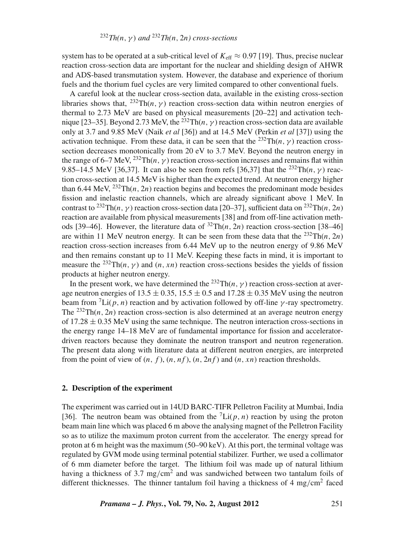system has to be operated at a sub-critical level of  $K_{\text{eff}} \approx 0.97$  [19]. Thus, precise nuclear reaction cross-section data are important for the nuclear and shielding design of AHWR and ADS-based transmutation system. However, the database and experience of thorium fuels and the thorium fuel cycles are very limited compared to other conventional fuels.

A careful look at the nuclear cross-section data, available in the existing cross-section libraries shows that,  $^{232}Th(n, \gamma)$  reaction cross-section data within neutron energies of thermal to 2.73 MeV are based on physical measurements [20–22] and activation technique [23–35]. Beyond 2.73 MeV, the <sup>232</sup>Th(*n*,  $\gamma$ ) reaction cross-section data are available only at 3.7 and 9.85 MeV (Naik *et al* [36]) and at 14.5 MeV (Perkin *et al* [37]) using the activation technique. From these data, it can be seen that the <sup>232</sup>Th( $n, \gamma$ ) reaction crosssection decreases monotonically from 20 eV to 3.7 MeV. Beyond the neutron energy in the range of 6–7 MeV,  $^{232}Th(n, \gamma)$  reaction cross-section increases and remains flat within 9.85–14.5 MeV [36,37]. It can also be seen from refs [36,37] that the <sup>232</sup>Th(*n*,  $\gamma$ ) reaction cross-section at 14.5 MeV is higher than the expected trend. At neutron energy higher than 6.44 MeV,  $^{232}$ Th(*n*, 2*n*) reaction begins and becomes the predominant mode besides fission and inelastic reaction channels, which are already significant above 1 MeV. In contrast to <sup>232</sup>Th(*n*, *y*) reaction cross-section data [20–37], sufficient data on <sup>232</sup>Th(*n*, 2*n*) reaction are available from physical measurements [38] and from off-line activation methods [39–46]. However, the literature data of  $^{32}Th(n, 2n)$  reaction cross-section [38–46] are within 11 MeV neutron energy. It can be seen from these data that the  $^{232}Th(n, 2n)$ reaction cross-section increases from 6.44 MeV up to the neutron energy of 9.86 MeV and then remains constant up to 11 MeV. Keeping these facts in mind, it is important to measure the <sup>232</sup>Th(*n*,  $\gamma$ ) and (*n*, *xn*) reaction cross-sections besides the yields of fission products at higher neutron energy.

In the present work, we have determined the <sup>232</sup>Th(*n*, γ) reaction cross-section at average neutron energies of 13.5  $\pm$  0.35, 15.5  $\pm$  0.5 and 17.28  $\pm$  0.35 MeV using the neutron beam from  ${}^{7}$ Li( $p, n$ ) reaction and by activation followed by off-line  $\gamma$ -ray spectrometry. The <sup>232</sup>Th(*n*, 2*n*) reaction cross-section is also determined at an average neutron energy of  $17.28 \pm 0.35$  MeV using the same technique. The neutron interaction cross-sections in the energy range 14–18 MeV are of fundamental importance for fission and acceleratordriven reactors because they dominate the neutron transport and neutron regeneration. The present data along with literature data at different neutron energies, are interpreted from the point of view of  $(n, f)$ ,  $(n, nf)$ ,  $(n, 2nf)$  and  $(n, xn)$  reaction thresholds.

### **2. Description of the experiment**

The experiment was carried out in 14UD BARC-TIFR Pelletron Facility at Mumbai, India [36]. The neutron beam was obtained from the  ${}^{7}$ Li( $p, n$ ) reaction by using the proton beam main line which was placed 6 m above the analysing magnet of the Pelletron Facility so as to utilize the maximum proton current from the accelerator. The energy spread for proton at 6 m height was the maximum (50–90 keV). At this port, the terminal voltage was regulated by GVM mode using terminal potential stabilizer. Further, we used a collimator of 6 mm diameter before the target. The lithium foil was made up of natural lithium having a thickness of 3.7 mg/cm<sup>2</sup> and was sandwiched between two tantalum foils of different thicknesses. The thinner tantalum foil having a thickness of  $4 \text{ mg/cm}^2$  faced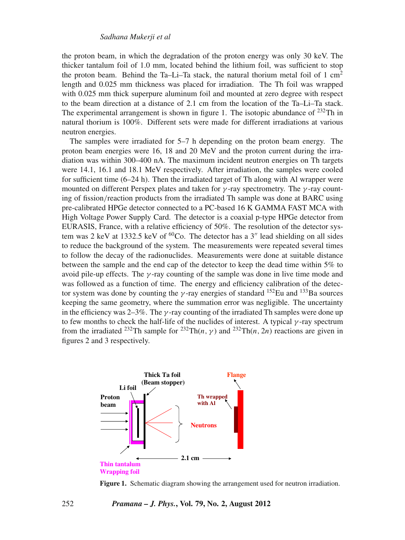the proton beam, in which the degradation of the proton energy was only 30 keV. The thicker tantalum foil of 1.0 mm, located behind the lithium foil, was sufficient to stop the proton beam. Behind the Ta–Li–Ta stack, the natural thorium metal foil of 1  $\text{cm}^2$ length and 0.025 mm thickness was placed for irradiation. The Th foil was wrapped with 0.025 mm thick superpure aluminum foil and mounted at zero degree with respect to the beam direction at a distance of 2.1 cm from the location of the Ta–Li–Ta stack. The experimental arrangement is shown in figure 1. The isotopic abundance of  $^{232}$ Th in natural thorium is 100%. Different sets were made for different irradiations at various neutron energies.

The samples were irradiated for 5–7 h depending on the proton beam energy. The proton beam energies were 16, 18 and 20 MeV and the proton current during the irradiation was within 300–400 nA. The maximum incident neutron energies on Th targets were 14.1, 16.1 and 18.1 MeV respectively. After irradiation, the samples were cooled for sufficient time (6–24 h). Then the irradiated target of Th along with Al wrapper were mounted on different Perspex plates and taken for  $\gamma$ -ray spectrometry. The  $\gamma$ -ray counting of fission/reaction products from the irradiated Th sample was done at BARC using pre-calibrated HPGe detector connected to a PC-based 16 K GAMMA FAST MCA with High Voltage Power Supply Card. The detector is a coaxial p-type HPGe detector from EURASIS, France, with a relative efficiency of 50%. The resolution of the detector system was 2 keV at 1332.5 keV of  ${}^{60}Co$ . The detector has a 3<sup>"</sup> lead shielding on all sides to reduce the background of the system. The measurements were repeated several times to follow the decay of the radionuclides. Measurements were done at suitable distance between the sample and the end cap of the detector to keep the dead time within 5% to avoid pile-up effects. The  $\gamma$ -ray counting of the sample was done in live time mode and was followed as a function of time. The energy and efficiency calibration of the detector system was done by counting the  $\gamma$ -ray energies of standard <sup>152</sup>Eu and <sup>133</sup>Ba sources keeping the same geometry, where the summation error was negligible. The uncertainty in the efficiency was  $2-3\%$ . The  $\gamma$ -ray counting of the irradiated Th samples were done up to few months to check the half-life of the nuclides of interest. A typical  $\gamma$ -ray spectrum from the irradiated <sup>232</sup>Th sample for <sup>232</sup>Th(*n*, *y*) and <sup>232</sup>Th(*n*, 2*n*) reactions are given in figures 2 and 3 respectively.



**Figure 1.** Schematic diagram showing the arrangement used for neutron irradiation.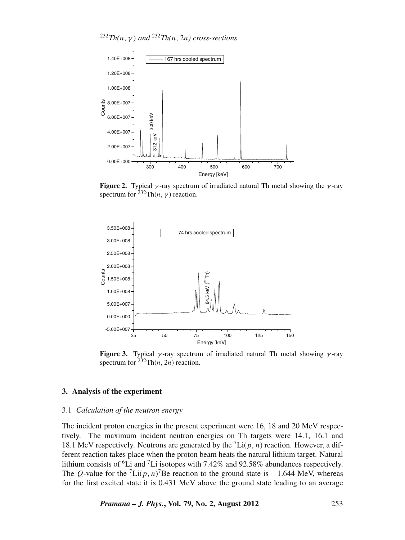$^{232}Th(n, \gamma)$  *and*  $^{232}Th(n, 2n)$  *cross-sections* 



**Figure 2.** Typical  $\gamma$ -ray spectrum of irradiated natural Th metal showing the  $\gamma$ -ray spectrum for  $^{232}Th(n, \gamma)$  reaction.



**Figure 3.** Typical  $\gamma$ -ray spectrum of irradiated natural Th metal showing  $\gamma$ -ray spectrum for  $^{232}Th(n, 2n)$  reaction.

### **3. Analysis of the experiment**

### 3.1 *Calculation of the neutron energy*

The incident proton energies in the present experiment were 16, 18 and 20 MeV respectively. The maximum incident neutron energies on Th targets were 14.1, 16.1 and 18.1 MeV respectively. Neutrons are generated by the  ${}^{7}$ Li( $p, n$ ) reaction. However, a different reaction takes place when the proton beam heats the natural lithium target. Natural lithium consists of <sup>6</sup>Li and <sup>7</sup>Li isotopes with 7.42% and 92.58% abundances respectively. The *Q*-value for the <sup>7</sup>Li(*p*, *n*)<sup>7</sup>Be reaction to the ground state is  $-1.644$  MeV, whereas for the first excited state it is 0.431 MeV above the ground state leading to an average

*Pramana – J. Phys.***, Vol. 79, No. 2, August 2012** 253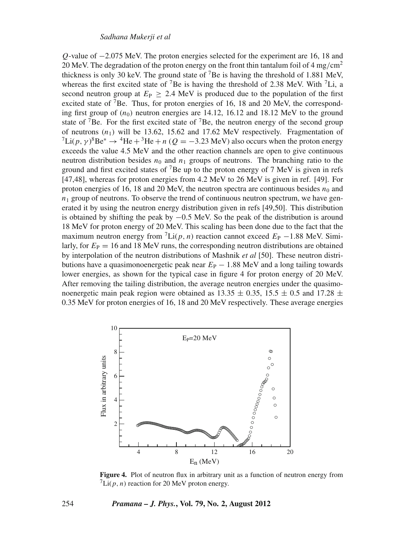*Q*-value of −2.075 MeV. The proton energies selected for the experiment are 16, 18 and 20 MeV. The degradation of the proton energy on the front thin tantalum foil of 4 mg/cm<sup>2</sup> thickness is only 30 keV. The ground state of  $7Be$  is having the threshold of 1.881 MeV, whereas the first excited state of <sup>7</sup>Be is having the threshold of 2.38 MeV. With <sup>7</sup>Li, a second neutron group at  $E_P \geq 2.4$  MeV is produced due to the population of the first excited state of <sup>7</sup>Be. Thus, for proton energies of 16, 18 and 20 MeV, the corresponding first group of  $(n_0)$  neutron energies are 14.12, 16.12 and 18.12 MeV to the ground state of <sup>7</sup>Be. For the first excited state of <sup>7</sup>Be, the neutron energy of the second group of neutrons  $(n_1)$  will be 13.62, 15.62 and 17.62 MeV respectively. Fragmentation of  $^7$ Li( $p, \gamma$ )<sup>8</sup>Be<sup>\*</sup>  $\rightarrow$  <sup>4</sup>He + <sup>3</sup>He + *n* ( $Q = -3.23$  MeV) also occurs when the proton energy exceeds the value 4.5 MeV and the other reaction channels are open to give continuous neutron distribution besides  $n_0$  and  $n_1$  groups of neutrons. The branching ratio to the ground and first excited states of  $7Be$  up to the proton energy of  $7MeV$  is given in refs [47,48], whereas for proton energies from 4.2 MeV to 26 MeV is given in ref. [49]. For proton energies of 16, 18 and 20 MeV, the neutron spectra are continuous besides  $n_0$  and  $n_1$  group of neutrons. To observe the trend of continuous neutron spectrum, we have generated it by using the neutron energy distribution given in refs [49,50]. This distribution is obtained by shifting the peak by  $-0.5$  MeV. So the peak of the distribution is around 18 MeV for proton energy of 20 MeV. This scaling has been done due to the fact that the maximum neutron energy from  ${}^{7}$ Li(*p*, *n*) reaction cannot exceed  $E_{P}$  −1.88 MeV. Similarly, for  $E_P = 16$  and 18 MeV runs, the corresponding neutron distributions are obtained by interpolation of the neutron distributions of Mashnik *et al* [50]. These neutron distributions have a quasimonoenergetic peak near  $E_P - 1.88$  MeV and a long tailing towards lower energies, as shown for the typical case in figure 4 for proton energy of 20 MeV. After removing the tailing distribution, the average neutron energies under the quasimonoenergetic main peak region were obtained as  $13.35 \pm 0.35$ ,  $15.5 \pm 0.5$  and  $17.28 \pm 0.5$ 0.35 MeV for proton energies of 16, 18 and 20 MeV respectively. These average energies



**Figure 4.** Plot of neutron flux in arbitrary unit as a function of neutron energy from  $\int Li(p, n)$  reaction for 20 MeV proton energy.

### 254 *Pramana – J. Phys.***, Vol. 79, No. 2, August 2012**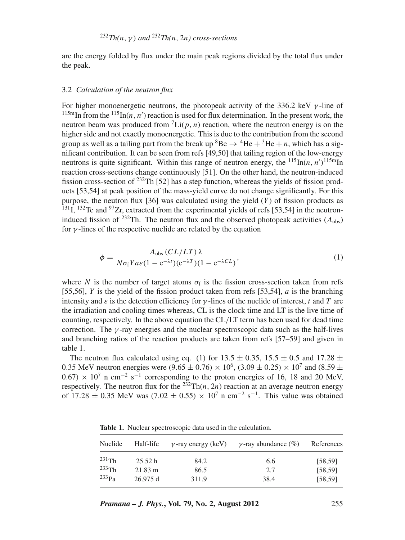are the energy folded by flux under the main peak regions divided by the total flux under the peak.

#### 3.2 *Calculation of the neutron flux*

For higher monoenergetic neutrons, the photopeak activity of the 336.2 keV  $\gamma$ -line of <sup>115m</sup>In from the <sup>115</sup>In(*n*, *n'*) reaction is used for flux determination. In the present work, the neutron beam was produced from  ${}^{7}$ Li(p, n) reaction, where the neutron energy is on the higher side and not exactly monoenergetic. This is due to the contribution from the second group as well as a tailing part from the break up  ${}^{8}Be \rightarrow {}^{4}He + {}^{3}He + n$ , which has a significant contribution. It can be seen from refs [49,50] that tailing region of the low-energy neutrons is quite significant. Within this range of neutron energy, the  $^{115}$ In(*n*, *n'*)<sup>115m</sup>In reaction cross-sections change continuously [51]. On the other hand, the neutron-induced fission cross-section of <sup>232</sup>Th [52] has a step function, whereas the yields of fission products [53,54] at peak position of the mass-yield curve do not change significantly. For this purpose, the neutron flux  $[36]$  was calculated using the yield  $(Y)$  of fission products as  $^{131}$ I,  $^{132}$ Te and  $^{97}Zr$ , extracted from the experimental yields of refs [53,54] in the neutroninduced fission of <sup>232</sup>Th. The neutron flux and the observed photopeak activities  $(A_{obs})$ for  $\gamma$ -lines of the respective nuclide are related by the equation

$$
\phi = \frac{A_{\text{obs}}(CL/LT)\lambda}{N\sigma_f Y a \varepsilon (1 - e^{-\lambda t})(e^{-\lambda T})(1 - e^{-\lambda CL})},\tag{1}
$$

where *N* is the number of target atoms  $\sigma_f$  is the fission cross-section taken from refs [55,56], *Y* is the yield of the fission product taken from refs [53,54], *a* is the branching intensity and  $\varepsilon$  is the detection efficiency for  $\gamma$ -lines of the nuclide of interest, *t* and *T* are the irradiation and cooling times whereas, CL is the clock time and LT is the live time of counting, respectively. In the above equation the CL/LT term has been used for dead time correction. The  $\gamma$ -ray energies and the nuclear spectroscopic data such as the half-lives and branching ratios of the reaction products are taken from refs [57–59] and given in table 1.

The neutron flux calculated using eq. (1) for 13.5  $\pm$  0.35, 15.5  $\pm$  0.5 and 17.28  $\pm$ 0.35 MeV neutron energies were  $(9.65 \pm 0.76) \times 10^6$ ,  $(3.09 \pm 0.25) \times 10^7$  and  $(8.59 \pm 0.76)$  $(0.67) \times 10^7$  n cm<sup>-2</sup> s<sup>-1</sup> corresponding to the proton energies of 16, 18 and 20 MeV, respectively. The neutron flux for the  $^{232}Th(n, 2n)$  reaction at an average neutron energy of 17.28  $\pm$  0.35 MeV was (7.02  $\pm$  0.55) × 10<sup>7</sup> n cm<sup>-2</sup> s<sup>-1</sup>. This value was obtained

**Table 1.** Nuclear spectroscopic data used in the calculation.

| Nuclide  | Half-life         | $\nu$ -ray energy (keV) | $\gamma$ -ray abundance (%) | References |
|----------|-------------------|-------------------------|-----------------------------|------------|
| $231$ Th | 25.52 h           | 84.2                    | 6.6                         | [58, 59]   |
| $233$ Th | $21.83 \text{ m}$ | 86.5                    | 2.7                         | [58, 59]   |
| $233p_a$ | 26.975d           | 311.9                   | 38.4                        | [58, 59]   |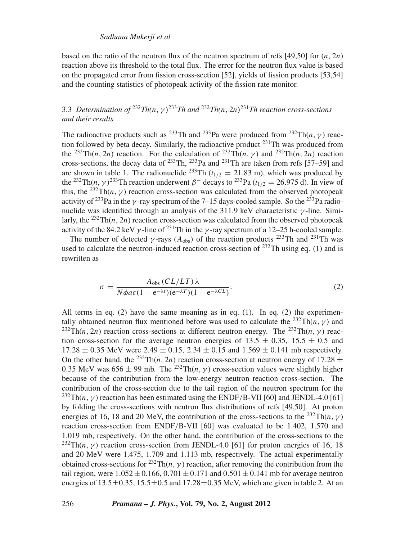### *Sadhana Mukerji et al*

based on the ratio of the neutron flux of the neutron spectrum of refs [49,50] for (*n*, 2*n*) reaction above its threshold to the total flux. The error for the neutron flux value is based on the propagated error from fission cross-section [52], yields of fission products [53,54] and the counting statistics of photopeak activity of the fission rate monitor.

# 3.3 *Determination of* <sup>232</sup>*Th(n*,γ)233*Th and* <sup>232</sup>*Th(n*, 2*n*)231*Th reaction cross-sections and their results*

The radioactive products such as <sup>233</sup>Th and <sup>233</sup>Pa were produced from <sup>232</sup>Th(*n*, *γ*) reaction followed by beta decay. Similarly, the radioactive product  $^{231}$ Th was produced from the <sup>232</sup>Th(*n*, 2*n*) reaction. For the calculation of <sup>232</sup>Th(*n*,  $\gamma$ ) and <sup>232</sup>Th(*n*, 2*n*) reaction cross-sections, the decay data of  $^{233}$ Th,  $^{233}$ Pa and  $^{231}$ Th are taken from refs [57–59] and are shown in table 1. The radionuclide <sup>233</sup>Th ( $t_{1/2}$  = 21.83 m), which was produced by the <sup>232</sup>Th(*n*,  $\gamma$ )<sup>233</sup>Th reaction underwent  $\beta$ <sup>-</sup> decays to <sup>233</sup>Pa ( $t_{1/2}$  = 26.975 d). In view of this, the <sup>232</sup>Th(*n*,  $\gamma$ ) reaction cross-section was calculated from the observed photopeak activity of <sup>233</sup>Pa in the *γ*-ray spectrum of the 7–15 days-cooled sample. So the <sup>233</sup>Pa radionuclide was identified through an analysis of the 311.9 keV characteristic  $\gamma$ -line. Similarly, the  $^{232}$ Th(*n*, 2*n*) reaction cross-section was calculated from the observed photopeak activity of the 84.2 keV  $\gamma$ -line of <sup>231</sup>Th in the  $\gamma$ -ray spectrum of a 12–25 h-cooled sample.

The number of detected  $\gamma$ -rays ( $A_{obs}$ ) of the reaction products <sup>233</sup>Th and <sup>231</sup>Th was used to calculate the neutron-induced reaction cross-section of  $^{232}$ Th using eq. (1) and is rewritten as

$$
\sigma = \frac{A_{\text{obs}}(CL/LT)\lambda}{N\phi a\epsilon (1 - e^{-\lambda t})(e^{-\lambda T})(1 - e^{-\lambda CL})}.
$$
\n(2)

All terms in eq.  $(2)$  have the same meaning as in eq.  $(1)$ . In eq.  $(2)$  the experimentally obtained neutron flux mentioned before was used to calculate the <sup>232</sup>Th(*n*,  $\gamma$ ) and <sup>232</sup>Th(*n*, 2*n*) reaction cross-sections at different neutron energy. The <sup>232</sup>Th(*n*,  $\gamma$ ) reaction cross-section for the average neutron energies of 13.5  $\pm$  0.35, 15.5  $\pm$  0.5 and  $17.28 \pm 0.35$  MeV were  $2.49 \pm 0.15$ ,  $2.34 \pm 0.15$  and  $1.569 \pm 0.141$  mb respectively. On the other hand, the <sup>232</sup>Th(*n*, 2*n*) reaction cross-section at neutron energy of 17.28  $\pm$ 0.35 MeV was  $656 \pm 99$  mb. The <sup>232</sup>Th(*n*,  $\gamma$ ) cross-section values were slightly higher because of the contribution from the low-energy neutron reaction cross-section. The contribution of the cross-section due to the tail region of the neutron spectrum for the <sup>232</sup>Th(*n*,  $\gamma$ ) reaction has been estimated using the ENDF/B-VII [60] and JENDL-4.0 [61] by folding the cross-sections with neutron flux distributions of refs [49,50]. At proton energies of 16, 18 and 20 MeV, the contribution of the cross-sections to the <sup>232</sup>Th(*n*, *y*) reaction cross-section from ENDF/B-VII [60] was evaluated to be 1.402, 1.570 and 1.019 mb, respectively. On the other hand, the contribution of the cross-sections to the <sup>232</sup>Th(*n*,  $\gamma$ ) reaction cross-section from JENDL-4.0 [61] for proton energies of 16, 18 and 20 MeV were 1.475, 1.709 and 1.113 mb, respectively. The actual experimentally obtained cross-sections for <sup>232</sup>Th(*n*,  $\gamma$ ) reaction, after removing the contribution from the tail region, were  $1.052 \pm 0.166$ ,  $0.701 \pm 0.171$  and  $0.501 \pm 0.141$  mb for average neutron energies of  $13.5\pm0.35$ ,  $15.5\pm0.5$  and  $17.28\pm0.35$  MeV, which are given in table 2. At an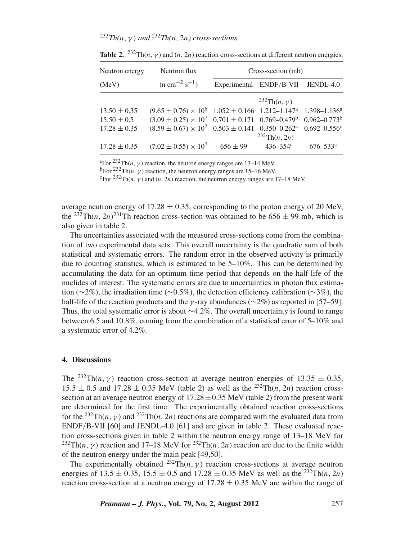# <sup>232</sup>*Th(n*,γ) *and* <sup>232</sup>*Th(n*, 2*n) cross-sections*

| Neutron energy   | Neutron flux                                                                                      | Cross-section (mb) |                                   |                          |  |
|------------------|---------------------------------------------------------------------------------------------------|--------------------|-----------------------------------|--------------------------|--|
| (MeV)            | $(n \text{ cm}^{-2} \text{ s}^{-1})$                                                              |                    | Experimental ENDF/B-VII JENDL-4.0 |                          |  |
|                  |                                                                                                   |                    | <sup>232</sup> Th $(n, \gamma)$   |                          |  |
| $13.50 \pm 0.35$ | $(9.65 \pm 0.76) \times 10^6$ $1.052 \pm 0.166$ $1.212 - 1.147^a$ $1.398 - 1.136^a$               |                    |                                   |                          |  |
| $15.50 \pm 0.5$  | $(3.09 \pm 0.25) \times 10^7$ 0.701 $\pm$ 0.171 0.769–0.479 <sup>b</sup> 0.962–0.773 <sup>b</sup> |                    |                                   |                          |  |
| $17.28 \pm 0.35$ | $(8.59 \pm 0.67) \times 10^7$ 0.503 $\pm$ 0.141 0.350-0.262 <sup>c</sup>                          |                    |                                   | $0.692 - 0.556$ c        |  |
|                  |                                                                                                   |                    | $^{232}Th(n, 2n)$                 |                          |  |
| $17.28 \pm 0.35$ | $(7.02 \pm 0.55) \times 10^7$                                                                     | $656 \pm 99$       | $436 - 354$ <sup>c</sup>          | $676 - 533$ <sup>c</sup> |  |

**Table 2.** <sup>232</sup>Th(*n*, *y*) and (*n*, 2*n*) reaction cross-sections at different neutron energies.

<sup>a</sup>For <sup>232</sup>Th(*n*, *γ*) reaction, the neutron energy ranges are 13–14 MeV.<br><sup>b</sup>For <sup>232</sup>Th(*n*, *γ*) reaction, the neutron energy ranges are 15–16 MeV.

 $\rm{c_{For}}$  232 $\rm{Th}(n, \gamma)$  and  $(n, 2n)$  reaction, the neutron energy ranges are 17–18 MeV.

average neutron energy of  $17.28 \pm 0.35$ , corresponding to the proton energy of 20 MeV, the <sup>232</sup>Th(*n*, 2*n*)<sup>231</sup>Th reaction cross-section was obtained to be  $656 \pm 99$  mb, which is also given in table 2.

The uncertainties associated with the measured cross-sections come from the combination of two experimental data sets. This overall uncertainty is the quadratic sum of both statistical and systematic errors. The random error in the observed activity is primarily due to counting statistics, which is estimated to be 5–10%. This can be determined by accumulating the data for an optimum time period that depends on the half-life of the nuclides of interest. The systematic errors are due to uncertainties in photon flux estimation ( $\sim$ 2%), the irradiation time ( $\sim$ 0.5%), the detection efficiency calibration ( $\sim$ 3%), the half-life of the reaction products and the  $\gamma$ -ray abundances ( $\sim$ 2%) as reported in [57–59]. Thus, the total systematic error is about ∼4.2%. The overall uncertainty is found to range between 6.5 and 10.8%, coming from the combination of a statistical error of 5–10% and a systematic error of 4.2%.

#### **4. Discussions**

The <sup>232</sup>Th(*n*,  $\gamma$ ) reaction cross-section at average neutron energies of 13.35  $\pm$  0.35,  $15.5 \pm 0.5$  and  $17.28 \pm 0.35$  MeV (table 2) as well as the <sup>232</sup>Th(*n*, 2*n*) reaction crosssection at an average neutron energy of  $17.28 \pm 0.35$  MeV (table 2) from the present work are determined for the first time. The experimentally obtained reaction cross-sections for the <sup>232</sup>Th(*n*,  $\gamma$ ) and <sup>232</sup>Th(*n*, 2*n*) reactions are compared with the evaluated data from ENDF/B-VII [60] and JENDL-4.0 [61] and are given in table 2. These evaluated reaction cross-sections given in table 2 within the neutron energy range of 13–18 MeV for <sup>232</sup>Th(*n*, *y*) reaction and 17–18 MeV for <sup>232</sup>Th(*n*, 2*n*) reaction are due to the finite width of the neutron energy under the main peak [49,50].

The experimentally obtained <sup>232</sup>Th(*n*,  $\gamma$ ) reaction cross-sections at average neutron energies of 13.5 ± 0.35, 15.5 ± 0.5 and 17.28 ± 0.35 MeV as well as the <sup>232</sup>Th(*n*, 2*n*) reaction cross-section at a neutron energy of  $17.28 \pm 0.35$  MeV are within the range of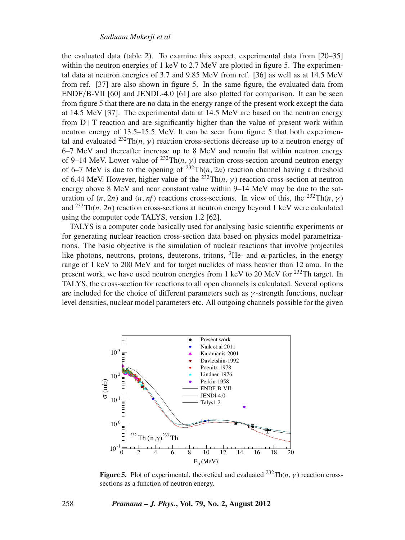the evaluated data (table 2). To examine this aspect, experimental data from [20–35] within the neutron energies of 1 keV to  $2.7 \text{ MeV}$  are plotted in figure 5. The experimental data at neutron energies of 3.7 and 9.85 MeV from ref. [36] as well as at 14.5 MeV from ref. [37] are also shown in figure 5. In the same figure, the evaluated data from ENDF/B-VII [60] and JENDL-4.0 [61] are also plotted for comparison. It can be seen from figure 5 that there are no data in the energy range of the present work except the data at 14.5 MeV [37]. The experimental data at 14.5 MeV are based on the neutron energy from D+T reaction and are significantly higher than the value of present work within neutron energy of 13.5–15.5 MeV. It can be seen from figure 5 that both experimental and evaluated <sup>232</sup>Th(*n*,  $\gamma$ ) reaction cross-sections decrease up to a neutron energy of 6–7 MeV and thereafter increase up to 8 MeV and remain flat within neutron energy of 9–14 MeV. Lower value of <sup>232</sup>Th(*n*,  $\gamma$ ) reaction cross-section around neutron energy of 6–7 MeV is due to the opening of  $232TH(n, 2n)$  reaction channel having a threshold of 6.44 MeV. However, higher value of the <sup>232</sup>Th( $n, \gamma$ ) reaction cross-section at neutron energy above 8 MeV and near constant value within 9–14 MeV may be due to the saturation of  $(n, 2n)$  and  $(n, nf)$  reactions cross-sections. In view of this, the <sup>232</sup>Th $(n, \gamma)$ and  $^{232}Th(n, 2n)$  reaction cross-sections at neutron energy beyond 1 keV were calculated using the computer code TALYS, version 1.2 [62].

TALYS is a computer code basically used for analysing basic scientific experiments or for generating nuclear reaction cross-section data based on physics model parametrizations. The basic objective is the simulation of nuclear reactions that involve projectiles like photons, neutrons, protons, deuterons, tritons,  ${}^{3}He$ - and  $\alpha$ -particles, in the energy range of 1 keV to 200 MeV and for target nuclides of mass heavier than 12 amu. In the present work, we have used neutron energies from 1 keV to 20 MeV for  $2^{32}$ Th target. In TALYS, the cross-section for reactions to all open channels is calculated. Several options are included for the choice of different parameters such as  $\gamma$ -strength functions, nuclear level densities, nuclear model parameters etc. All outgoing channels possible for the given



**Figure 5.** Plot of experimental, theoretical and evaluated  $^{232} \text{Th}(n, \gamma)$  reaction crosssections as a function of neutron energy.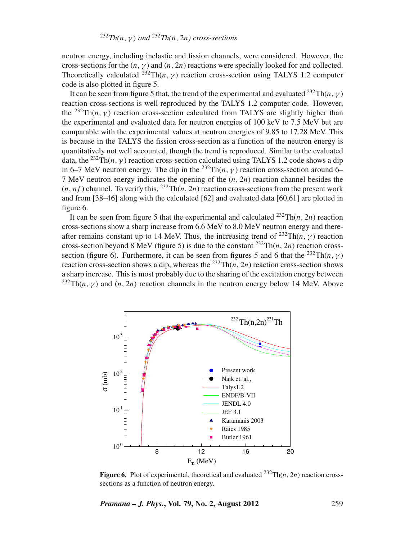neutron energy, including inelastic and fission channels, were considered. However, the cross-sections for the  $(n, \gamma)$  and  $(n, 2n)$  reactions were specially looked for and collected. Theoretically calculated <sup>232</sup>Th(*n*,  $\gamma$ ) reaction cross-section using TALYS 1.2 computer code is also plotted in figure 5.

It can be seen from figure 5 that, the trend of the experimental and evaluated <sup>232</sup>Th(*n*, γ) reaction cross-sections is well reproduced by the TALYS 1.2 computer code. However, the <sup>232</sup>Th(*n*,  $\gamma$ ) reaction cross-section calculated from TALYS are slightly higher than the experimental and evaluated data for neutron energies of 100 keV to 7.5 MeV but are comparable with the experimental values at neutron energies of 9.85 to 17.28 MeV. This is because in the TALYS the fission cross-section as a function of the neutron energy is quantitatively not well accounted, though the trend is reproduced. Similar to the evaluated data, the <sup>232</sup>Th(*n*, γ) reaction cross-section calculated using TALYS 1.2 code shows a dip in 6–7 MeV neutron energy. The dip in the <sup>232</sup>Th( $n, \gamma$ ) reaction cross-section around 6– 7 MeV neutron energy indicates the opening of the (*n*, 2*n*) reaction channel besides the  $(n, nf)$  channel. To verify this,  $^{232}Th(n, 2n)$  reaction cross-sections from the present work and from  $[38–46]$  along with the calculated  $[62]$  and evaluated data  $[60,61]$  are plotted in figure 6.

It can be seen from figure 5 that the experimental and calculated  $^{232}Th(n, 2n)$  reaction cross-sections show a sharp increase from 6.6 MeV to 8.0 MeV neutron energy and thereafter remains constant up to 14 MeV. Thus, the increasing trend of  $^{232}Th(n, \gamma)$  reaction cross-section beyond 8 MeV (figure 5) is due to the constant  $^{232}Th(n, 2n)$  reaction crosssection (figure 6). Furthermore, it can be seen from figures 5 and 6 that the <sup>232</sup>Th(*n*,  $\gamma$ ) reaction cross-section shows a dip, whereas the <sup>232</sup>Th(*n*, 2*n*) reaction cross-section shows a sharp increase. This is most probably due to the sharing of the excitation energy between  $^{232}Th(n, \gamma)$  and  $(n, 2n)$  reaction channels in the neutron energy below 14 MeV. Above



**Figure 6.** Plot of experimental, theoretical and evaluated  $^{232} \text{Th}(n, 2n)$  reaction crosssections as a function of neutron energy.

*Pramana – J. Phys.***, Vol. 79, No. 2, August 2012** 259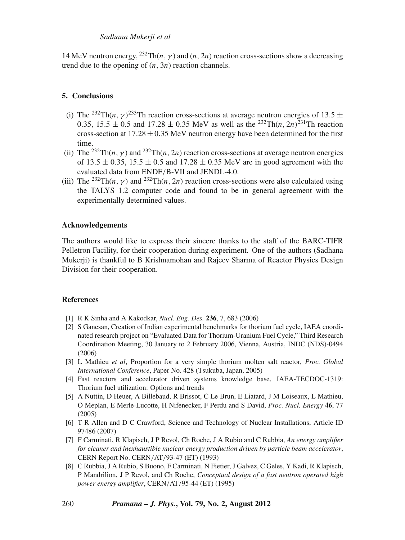# *Sadhana Mukerji et al*

14 MeV neutron energy,  $^{232}$ Th(*n*,  $\gamma$ ) and (*n*, 2*n*) reaction cross-sections show a decreasing trend due to the opening of (*n*, 3*n*) reaction channels.

# **5. Conclusions**

- (i) The <sup>232</sup>Th(*n*,  $\gamma$ )<sup>233</sup>Th reaction cross-sections at average neutron energies of 13.5  $\pm$ 0.35,  $15.5 \pm 0.5$  and  $17.28 \pm 0.35$  MeV as well as the <sup>232</sup>Th(*n*, 2*n*)<sup>231</sup>Th reaction cross-section at  $17.28 \pm 0.35$  MeV neutron energy have been determined for the first time.
- (ii) The <sup>232</sup>Th(*n*,  $\gamma$ ) and <sup>232</sup>Th(*n*, 2*n*) reaction cross-sections at average neutron energies of 13.5  $\pm$  0.35, 15.5  $\pm$  0.5 and 17.28  $\pm$  0.35 MeV are in good agreement with the evaluated data from ENDF/B-VII and JENDL-4.0.
- (iii) The <sup>232</sup>Th(*n*, γ) and <sup>232</sup>Th(*n*, 2*n*) reaction cross-sections were also calculated using the TALYS 1.2 computer code and found to be in general agreement with the experimentally determined values.

# **Acknowledgements**

The authors would like to express their sincere thanks to the staff of the BARC-TIFR Pelletron Facility, for their cooperation during experiment. One of the authors (Sadhana Mukerji) is thankful to B Krishnamohan and Rajeev Sharma of Reactor Physics Design Division for their cooperation.

### **References**

- [1] R K Sinha and A Kakodkar, *Nucl. Eng. Des.* **236**, 7, 683 (2006)
- [2] S Ganesan, Creation of Indian experimental benchmarks for thorium fuel cycle, IAEA coordinated research project on "Evaluated Data for Thorium-Uranium Fuel Cycle," Third Research Coordination Meeting, 30 January to 2 February 2006, Vienna, Austria, INDC (NDS)-0494 (2006)
- [3] L Mathieu *et al*, Proportion for a very simple thorium molten salt reactor, *Proc. Global International Conference*, Paper No. 428 (Tsukuba, Japan, 2005)
- [4] Fast reactors and accelerator driven systems knowledge base, IAEA-TECDOC-1319: Thorium fuel utilization: Options and trends
- [5] A Nuttin, D Heuer, A Billebaud, R Brissot, C Le Brun, E Liatard, J M Loiseaux, L Mathieu, O Meplan, E Merle-Lucotte, H Nifenecker, F Perdu and S David, *Proc. Nucl. Energy* **46**, 77 (2005)
- [6] T R Allen and D C Crawford, Science and Technology of Nuclear Installations, Article ID 97486 (2007)
- [7] F Carminati, R Klapisch, J P Revol, Ch Roche, J A Rubio and C Rubbia, *An energy amplifier for cleaner and inexhaustible nuclear energy production dri*v*en by particle beam accelerator*, CERN Report No. CERN/AT/93-47 (ET) (1993)
- [8] C Rubbia, J A Rubio, S Buono, F Carminati, N Fietier, J Galvez, C Geles, Y Kadi, R Klapisch, P Mandrilion, J P Revol, and Ch Roche, *Conceptual design of a fast neutron operated high power energy amplifier*, CERN/AT/95-44 (ET) (1995)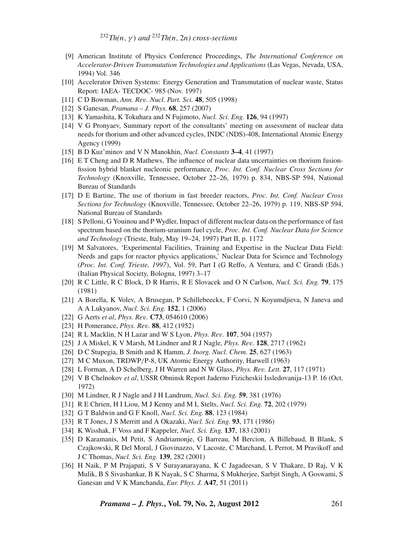<sup>232</sup>*Th(n*,γ) *and* <sup>232</sup>*Th(n*, 2*n) cross-sections*

- [9] American Institute of Physics Conference Proceedings, *The International Conference on Accelerator-Dri*v*en Transmutation Technologies and Applications* (Las Vegas, Nevada, USA, 1994) Vol. 346
- [10] Accelerator Driven Systems: Energy Generation and Transmutation of nuclear waste, Status Report: IAEA- TECDOC- 985 (Nov. 1997)
- [11] C D Bowman, *Ann. Re*v*. Nucl. Part. Sci.* **48**, 505 (1998)
- [12] S Ganesan, *Pramana J. Phys.* **68**, 257 (2007)
- [13] K Yamashita, K Tokuhara and N Fujimoto, *Nucl. Sci. Eng.* **126**, 94 (1997)
- [14] V G Pronyaev, Summary report of the consultants' meeting on assessment of nuclear data needs for thorium and other advanced cycles, INDC (NDS)-408, International Atomic Energy Agency (1999)
- [15] B D Kuz'minov and V N Manokhin, *Nucl. Constants* **3–4**, 41 (1997)
- [16] E T Cheng and D R Mathews, The influence of nuclear data uncertainties on thorium fusionfission hybrid blanket nucleonic performance, *Proc. Int. Conf. Nuclear Cross Sections for Technology* (Knoxville, Tennessee, October 22–26, 1979) p. 834, NBS-SP 594, National Bureau of Standards
- [17] D E Bartine, The use of thorium in fast breeder reactors, *Proc. Int. Conf. Nuclear Cross Sections for Technology* (Knoxville, Tennessee, October 22–26, 1979) p. 119, NBS-SP 594, National Bureau of Standards
- [18] S Pelloni, G Youinou and P Wydler, Impact of different nuclear data on the performance of fast spectrum based on the thorium-uranium fuel cycle, *Proc. Int. Conf. Nuclear Data for Science and Technology* (Trieste, Italy, May 19–24, 1997) Part II, p. 1172
- [19] M Salvatores, 'Experimental Facilities, Training and Expertise in the Nuclear Data Field: Needs and gaps for reactor physics applications,' Nuclear Data for Science and Technology (*Proc. Int. Conf. Trieste, 1997*), Vol. 59, Part I (G Reffo, A Ventura, and C Grandi (Eds.) (Italian Physical Society, Bologna, 1997) 3–17
- [20] R C Little, R C Block, D R Harris, R E Slovacek and O N Carlson, *Nucl. Sci. Eng.* **79**, 175 (1981)
- [21] A Borella, K Volev, A Brusegan, P Schillebeeckx, F Corvi, N Koyumdjieva, N Janeva and A A Lukyanov, *Nucl. Sci. Eng.* **152**, 1 (2006)
- [22] G Aerts *et al*, *Phys. Re*v*.* **C73**, 054610 (2006)
- [23] H Pomerance, *Phys. Re*v*.* **88**, 412 (1952)
- [24] R L Macklin, N H Lazar and W S Lyon, *Phys. Re*v*.* **107**, 504 (1957)
- [25] J A Miskel, K V Marsh, M Lindner and R J Nagle, *Phys. Re*v*.* **128**, 2717 (1962)
- [26] D C Stupegia, B Smith and K Hamm, *J. Inorg. Nucl. Chem.* **25**, 627 (1963)
- [27] M C Muxon, TRDWP/P-8, UK Atomic Energy Authority, Harwell (1963)
- [28] L Forman, A D Schelberg, J H Warren and N W Glass, *Phys. Re*v*. Lett.* **27**, 117 (1971)
- [29] V B Chelnokov *et al*, USSR Obninsk Report Jaderno Fizicheskii Issledovanija-13 P. 16 (Oct. 1972)
- [30] M Lindner, R J Nagle and J H Landrum, *Nucl. Sci. Eng.* **59**, 381 (1976)
- [31] R E Chrien, H I Liou, M J Kenny and M L Stelts, *Nucl. Sci. Eng.* **72**, 202 (1979)
- [32] G T Baldwin and G F Knoll, *Nucl. Sci. Eng.* **88**, 123 (1984)
- [33] R T Jones, J S Merritt and A Okazaki, *Nucl. Sci. Eng.* **93**, 171 (1986)
- [34] K Wisshak, F Voss and F Kappeler, *Nucl. Sci. Eng.* **137**, 183 (2001)
- [35] D Karamanis, M Petit, S Andriamonje, G Barreau, M Bercion, A Billebaud, B Blank, S Czajkowski, R Del Moral, J Giovinazzo, V Lacoste, C Marchand, L Perrot, M Pravikoff and J C Thomas, *Nucl. Sci. Eng.* **139**, 282 (2001)
- [36] H Naik, P M Prajapati, S V Surayanarayana, K C Jagadeesan, S V Thakare, D Raj, V K Mulik, B S Sivashankar, B K Nayak, S C Sharma, S Mukherjee, Sarbjit Singh, A Goswami, S Ganesan and V K Manchanda, *Eur. Phys. J.* **A47**, 51 (2011)